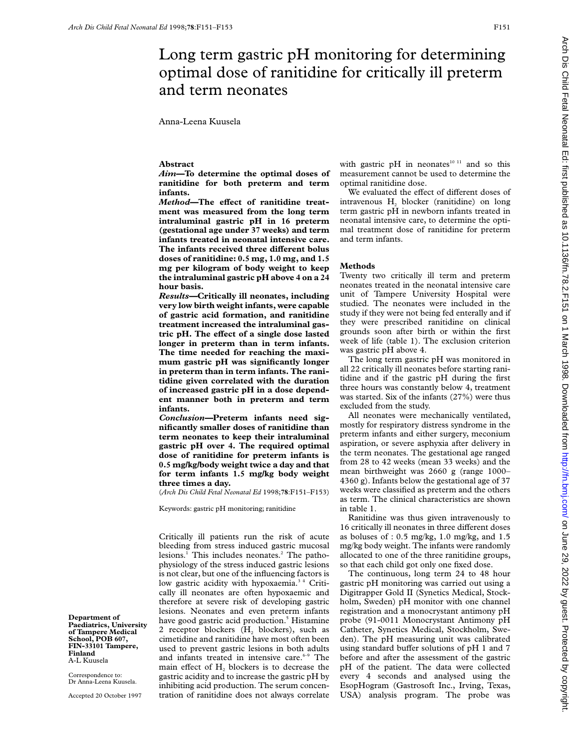# Long term gastric pH monitoring for determining optimal dose of ranitidine for critically ill preterm and term neonates

Anna-Leena Kuusela

#### **Abstract**

*Aim—***To determine the optimal doses of ranitidine for both preterm and term infants.**

*Method*-The effect of ranitidine treat**ment was measured from the long term intraluminal gastric pH in 16 preterm (gestational age under 37 weeks) and term infants treated in neonatal intensive care.** The infants received three different bolus **doses of ranitidine: 0.5 mg, 1.0 mg, and 1.5 mg per kilogram of body weight to keep the intraluminal gastric pH above 4 on a 24 hour basis.**

*Results—***Critically ill neonates, including very low birth weight infants, were capable of gastric acid formation, and ranitidine treatment increased the intraluminal gas**tric pH. The effect of a single dose lasted **longer in preterm than in term infants. The time needed for reaching the maximum gastric pH was significantly longer in preterm than in term infants. The ranitidine given correlated with the duration of increased gastric pH in a dose dependent manner both in preterm and term infants.**

*Conclusion—***Preterm infants need significantly smaller doses of ranitidine than term neonates to keep their intraluminal gastric pH over 4. The required optimal dose of ranitidine for preterm infants is 0.5 mg/kg/body weight twice a day and that for term infants 1.5 mg/kg body weight three times a day.**

(*Arch Dis Child Fetal Neonatal Ed* 1998;**78**:F151–F153)

Keywords: gastric pH monitoring; ranitidine

Critically ill patients run the risk of acute bleeding from stress induced gastric mucosal lesions.<sup>1</sup> This includes neonates.<sup>2</sup> The pathophysiology of the stress induced gastric lesions is not clear, but one of the influencing factors is low gastric acidity with hypoxaemia.<sup>34</sup> Critically ill neonates are often hypoxaemic and therefore at severe risk of developing gastric lesions. Neonates and even preterm infants have good gastric acid production.<sup>3</sup> Histamine 2 receptor blockers  $(H_2 \text{ blocks})$ , such as cimetidine and ranitidine have most often been used to prevent gastric lesions in both adults and infants treated in intensive care. $6-9$  The main effect of H<sub>2</sub> blockers is to decrease the gastric acidity and to increase the gastric pH by inhibiting acid production. The serum concentration of ranitidine does not always correlate

with gastric pH in neonates $10^{-11}$  and so this measurement cannot be used to determine the optimal ranitidine dose.

We evaluated the effect of different doses of intravenous H, blocker (ranitidine) on long term gastric pH in newborn infants treated in neonatal intensive care, to determine the optimal treatment dose of ranitidine for preterm and term infants.

## **Methods**

Twenty two critically ill term and preterm neonates treated in the neonatal intensive care unit of Tampere University Hospital were studied. The neonates were included in the study if they were not being fed enterally and if they were prescribed ranitidine on clinical grounds soon after birth or within the first week of life (table 1). The exclusion criterion was gastric pH above 4.

The long term gastric pH was monitored in all 22 critically ill neonates before starting ranitidine and if the gastric pH during the first three hours was constantly below 4, treatment was started. Six of the infants (27%) were thus excluded from the study.

All neonates were mechanically ventilated, mostly for respiratory distress syndrome in the preterm infants and either surgery, meconium aspiration, or severe asphyxia after delivery in the term neonates. The gestational age ranged from 28 to 42 weeks (mean 33 weeks) and the mean birthweight was 2660 g (range 1000– 4360 g). Infants below the gestational age of 37 weeks were classified as preterm and the others as term. The clinical characteristics are shown in table 1.

Ranitidine was thus given intravenously to 16 critically ill neonates in three different doses as boluses of : 0.5 mg/kg, 1.0 mg/kg, and 1.5 mg/kg body weight. The infants were randomly allocated to one of the three ranitidine groups, so that each child got only one fixed dose.

The continuous, long term 24 to 48 hour gastric pH monitoring was carried out using a Digitrapper Gold II (Synetics Medical, Stockholm, Sweden) pH monitor with one channel registration and a monocrystant antimony pH probe (91-0011 Monocrystant Antimony pH Catheter, Synetics Medical, Stockholm, Sweden). The pH measuring unit was calibrated using standard buffer solutions of pH 1 and 7 before and after the assessment of the gastric pH of the patient. The data were collected every 4 seconds and analysed using the EsopHogram (Gastrosoft Inc., Irving, Texas, USA) analysis program. The probe was

**Department of Paediatrics, University of Tampere Medical School, POB 607, FIN-33101 Tampere, Finland** A-L Kuusela

Correspondence to: Dr Anna-Leena Kuusela.

Accepted 20 October 1997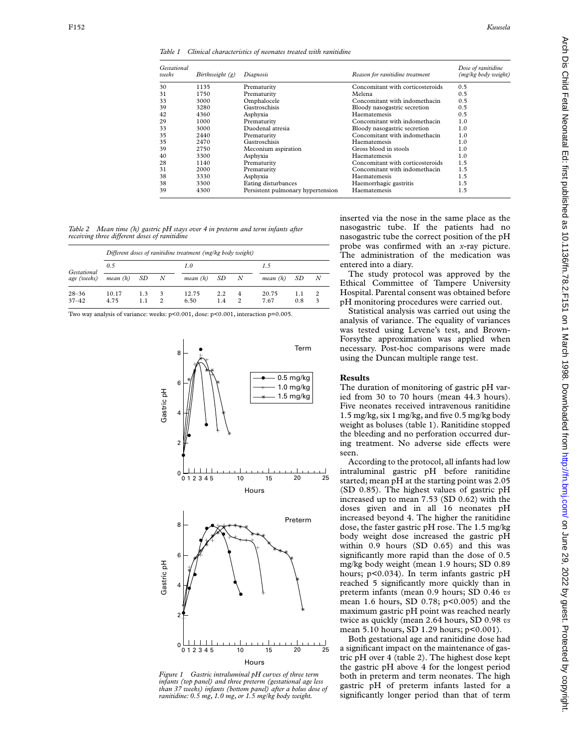F152 *Kuusela*

*Table 1 Clinical characteristics of neonates treated with ranitidine*

| Gestational<br>weeks | Birthweight $(g)$ | Diagnosis                         | Reason for ranitidine treatment  | Dose of ranitidine<br>$(mg/kg$ body weight) |  |  |
|----------------------|-------------------|-----------------------------------|----------------------------------|---------------------------------------------|--|--|
| 30                   | 1135              | Prematurity                       | Concomitant with corticosteroids | 0.5                                         |  |  |
| 31                   | 1750              | Prematurity                       | Melena                           | 0.5                                         |  |  |
| 33                   | 3000              | Omphalocele                       | Concomitant with indomethacin    | 0.5                                         |  |  |
| 39                   | 3280              | Gastroschisis                     | Bloody nasogastric secretion     | 0.5                                         |  |  |
| 42                   | 4360              | Asphyxia                          | Haematemesis                     | 0.5                                         |  |  |
| 29                   | 1000              | Prematurity                       | Concomitant with indomethacin    | 1.0                                         |  |  |
| 33                   | 3000              | Duodenal atresia                  | Bloody nasogastric secretion     | 1.0                                         |  |  |
| 35                   | 2440              | Prematurity                       | Concomitant with indomethacin    | 1.0                                         |  |  |
| 35                   | 2470              | Gastroschisis                     | Haematemesis                     | 1.0                                         |  |  |
| 39                   | 2750              | Meconium aspiration               | Gross blood in stools            | 1.0                                         |  |  |
| 40                   | 3300              | Asphyxia                          | Haematemesis                     | 1.0                                         |  |  |
| 28                   | 1140              | Prematurity                       | Concomitant with corticosteroids | 1.5                                         |  |  |
| 31                   | 2000              | Prematurity                       | Concomitant with indomethacin    | 1.5                                         |  |  |
| 38                   | 3330              | Asphyxia                          | Haematemesis                     | 1.5                                         |  |  |
| 38                   | 3300              | Eating disturbances               | Haemorrhagic gastritis           | 1.5                                         |  |  |
| 39                   | 4300              | Persistent pulmonary hypertension | Haematemesis                     | 1.5                                         |  |  |

*Table 2 Mean time (h) gastric pH stays over 4 in preterm and term infants after receiving three different doses of ranitidine* 

|                            | Different doses of ranitidine treatment (mg/kg body weight) |            |                     |               |            |                     |               |            |        |  |  |
|----------------------------|-------------------------------------------------------------|------------|---------------------|---------------|------------|---------------------|---------------|------------|--------|--|--|
|                            | 0.5                                                         |            |                     | 1.0           |            |                     | 1.5           |            |        |  |  |
| Gestational<br>age (weeks) | mean(h)                                                     | SD         | - N                 | mean(h)       | SD.        | $\overline{N}$      | mean(h)       | SD         | N      |  |  |
| $28 - 36$<br>$37 - 42$     | 10.17<br>4.75                                               | 1.3<br>1.1 | 3<br>$\mathfrak{D}$ | 12.75<br>6.50 | 2.2<br>1.4 | 4<br>$\mathfrak{D}$ | 20.75<br>7.67 | 1.1<br>0.8 | 2<br>3 |  |  |

Two way analysis of variance: weeks: p<0.001, dose: p<0.001, interaction p=0.005.



*Figure 1 Gastric intraluminal pH curves of three term infants (top panel) and three preterm (gestational age less than 37 weeks) infants (bottom panel) after a bolus dose of ranitidine: 0.5 mg, 1.0 mg, or 1.5 mg/kg body weight.*

inserted via the nose in the same place as the nasogastric tube. If the patients had no nasogastric tube the correct position of the pH probe was confirmed with an *x*-ray picture. The administration of the medication was entered into a diary.

The study protocol was approved by the Ethical Committee of Tampere University Hospital. Parental consent was obtained before pH monitoring procedures were carried out.

Statistical analysis was carried out using the analysis of variance. The equality of variances was tested using Levene's test, and Brown-Forsythe approximation was applied when necessary. Post-hoc comparisons were made using the Duncan multiple range test.

## **Results**

The duration of monitoring of gastric pH varied from 30 to 70 hours (mean 44.3 hours). Five neonates received intravenous ranitidine 1.5 mg/kg, six 1 mg/kg, and five 0.5 mg/kg body weight as boluses (table 1). Ranitidine stopped the bleeding and no perforation occurred during treatment. No adverse side effects were seen.

According to the protocol, all infants had low intraluminal gastric pH before ranitidine started; mean pH at the starting point was 2.05 (SD 0.85). The highest values of gastric pH increased up to mean 7.53 (SD 0.62) with the doses given and in all 16 neonates pH increased beyond 4. The higher the ranitidine dose, the faster gastric pH rose. The 1.5 mg/kg body weight dose increased the gastric pH within 0.9 hours (SD 0.65) and this was significantly more rapid than the dose of 0.5 mg/kg body weight (mean 1.9 hours; SD 0.89 hours; p<0.034). In term infants gastric pH reached 5 significantly more quickly than in preterm infants (mean 0.9 hours; SD 0.46 *vs* mean 1.6 hours, SD 0.78; p<0.005) and the maximum gastric pH point was reached nearly twice as quickly (mean 2.64 hours, SD 0.98 *vs* mean 5.10 hours, SD 1.29 hours; p<0.001).

Both gestational age and ranitidine dose had a significant impact on the maintenance of gastric pH over 4 (table 2). The highest dose kept the gastric pH above 4 for the longest period both in preterm and term neonates. The high gastric pH of preterm infants lasted for a significantly longer period than that of term